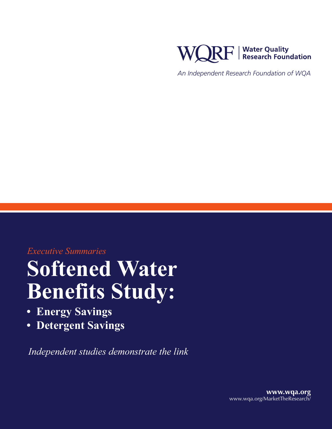

*An Independent Research Foundation of WQA*

*Executive Summaries*

## **Softened Water Benefits Study:**

- **• Energy Savings**
- **• Detergent Savings**

*Independent studies demonstrate the link*

**www.wqa.org** www.wqa.org/MarketTheResearch/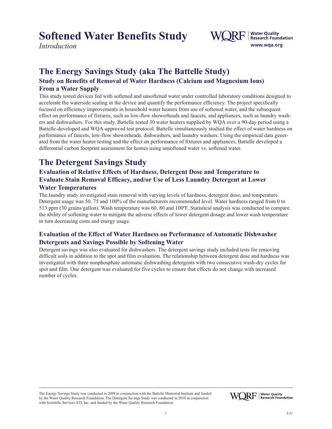*Introduction*



#### **The Energy Savings Study (aka The Battelle Study)**

#### **Study on Benefits of Removal of Water Hardness (Calcium and Magnesium Ions) From a Water Supply**

This study tested devices fed with softened and unsoftened water under controlled laboratory conditions designed to accelerate the waterside scaling in the device and quantify the performance efficiency. The project specifically focused on efficiency improvements in household water heaters from use of softened water, and the subsequent effect on performance of fixtures, such as low-flow showerheads and faucets, and appliances, such as laundry washers and dishwashers. For this study, Battelle tested 30 water heaters supplied by WQA over a 90-day period using a Battelle-developed and WQA-approved test protocol. Battelle simultaneously studied the effect of water hardness on performance of faucets, low-flow showerheads, dishwashers, and laundry washers. Using the empirical data generated from the water heater testing and the effect on performance of fixtures and appliances, Battelle developed a differential carbon footprint assessment for homes using unsoftened water vs. softened water.

#### **The Detergent Savings Study**

#### **Evaluation of Relative Effects of Hardness, Detergent Dose and Temperature to Evaluate Stain Removal Efficacy, and/or Use of Less Laundry Detergent at Lower Water Temperatures**

The laundry study investigated stain removal with varying levels of hardness, detergent dose, and temperature. Detergent usage was 50, 75 and 100% of the manufacturers recommended level. Water hardness ranged from 0 to 513 ppm (30 grains/gallon). Wash temperature was 60, 80 and 100ºF. Statistical analysis was conducted to compare the ability of softening water to mitigate the adverse effects of lower detergent dosage and lower wash temperature in turn decreasing costs and energy usage.

#### **Evaluation of the Effect of Water Hardness on Performance of Automatic Dishwasher Detergents and Savings Possible by Softening Water**

Detergent savings was also evaluated for dishwashers. The detergent savings study included tests for removing difficult soils in addition to the spot and film evaluation. The relationship between detergent dose and hardness was investigated with three nonphosphate automatic dishwashing detergents with two consecutive wash-dry cycles for spot and film. One detergent was evaluated for five cycles to ensure that effects do not change with increased number of cycles.

The Energy Savings Study was conducted in 2009 in conjunction with the Battelle Memorial Institute and funded by the Water Quality Research Foundation. The Detergent Savings Study was conducted in 2010 in conjunction with Scientific Services S/D, Inc. and funded by the Water Quality Research Foundation.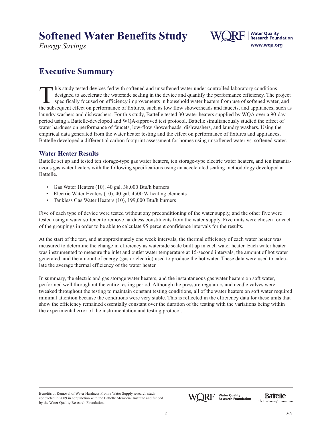*Energy Savings*



### **Executive Summary**

This study tested devices fed with softened and unsoftened water under controlled laboratory conditions<br>designed to accelerate the waterside scaling in the device and quantify the performance efficiency. The precifically f designed to accelerate the waterside scaling in the device and quantify the performance efficiency. The project specifically focused on efficiency improvements in household water heaters from use of softened water, and the subsequent effect on performance of fixtures, such as low flow showerheads and faucets, and appliances, such as laundry washers and dishwashers. For this study, Battelle tested 30 water heaters supplied by WQA over a 90-day period using a Battelle-developed and WQA-approved test protocol. Battelle simultaneously studied the effect of water hardness on performance of faucets, low-flow showerheads, dishwashers, and laundry washers. Using the empirical data generated from the water heater testing and the effect on performance of fixtures and appliances, Battelle developed a differential carbon footprint assessment for homes using unsoftened water vs. softened water.

#### **Water Heater Results**

Battelle set up and tested ten storage-type gas water heaters, ten storage-type electric water heaters, and ten instantaneous gas water heaters with the following specifications using an accelerated scaling methodology developed at Battelle.

- Gas Water Heaters (10), 40 gal, 38,000 Btu/h burners
- Electric Water Heaters (10), 40 gal, 4500 W heating elements
- Tankless Gas Water Heaters (10), 199,000 Btu/h burners

Five of each type of device were tested without any preconditioning of the water supply, and the other five were tested using a water softener to remove hardness constituents from the water supply. Five units were chosen for each of the groupings in order to be able to calculate 95 percent confidence intervals for the results.

At the start of the test, and at approximately one week intervals, the thermal efficiency of each water heater was measured to determine the change in efficiency as waterside scale built up in each water heater. Each water heater was instrumented to measure the inlet and outlet water temperature at 15-second intervals, the amount of hot water generated, and the amount of energy (gas or electric) used to produce the hot water. These data were used to calculate the average thermal efficiency of the water heater.

In summary, the electric and gas storage water heaters, and the instantaneous gas water heaters on soft water, performed well throughout the entire testing period. Although the pressure regulators and needle valves were tweaked throughout the testing to maintain constant testing conditions, all of the water heaters on soft water required minimal attention because the conditions were very stable. This is reflected in the efficiency data for these units that show the efficiency remained essentially constant over the duration of the testing with the variations being within the experimental error of the instrumentation and testing protocol.

Benefits of Removal of Water Hardness From a Water Supply research study conducted in 2009 in conjunction with the Battelle Memorial Institute and funded by the Water Quality Research Foundation.

The Business of Innovation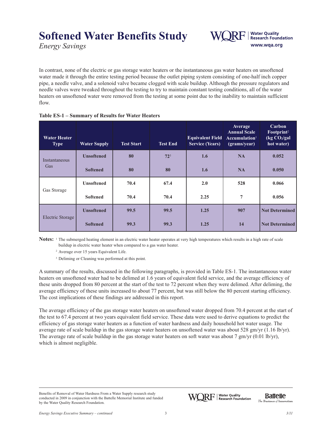*Energy Savings*

In contrast, none of the electric or gas storage water heaters or the instantaneous gas water heaters on unsoftened water made it through the entire testing period because the outlet piping system consisting of one-half inch copper pipe, a needle valve, and a solenoid valve became clogged with scale buildup. Although the pressure regulators and needle valves were tweaked throughout the testing to try to maintain constant testing conditions, all of the water heaters on unsoftened water were removed from the testing at some point due to the inability to maintain sufficient flow.

| <b>Water Heater</b><br><b>Type</b> | <b>Water Supply</b> | <b>Test Start</b> | <b>Test End</b> | <b>Equivalent Field</b><br><b>Service (Years)</b> | Average<br><b>Annual Scale</b><br>Accumulation <sup>1</sup><br>(grams/year) | Carbon<br>Footprint <sup>2</sup><br>(kg CO <sub>2</sub> /gal<br>hot water) |
|------------------------------------|---------------------|-------------------|-----------------|---------------------------------------------------|-----------------------------------------------------------------------------|----------------------------------------------------------------------------|
| Instantaneous<br>Gas               | <b>Unsoftened</b>   | 80                | $72^{3}$        | 1.6                                               | <b>NA</b>                                                                   | 0.052                                                                      |
|                                    | <b>Softened</b>     | 80                | 80              | 1.6                                               | <b>NA</b>                                                                   | 0.050                                                                      |
| Gas Storage                        | <b>Unsoftened</b>   | 70.4              | 67.4            | 2.0                                               | 528                                                                         | 0.066                                                                      |
|                                    | <b>Softened</b>     | 70.4              | 70.4            | 2.25                                              | $\overline{7}$                                                              | 0.056                                                                      |
| Electric Storage                   | <b>Unsoftened</b>   | 99.5              | 99.5            | 1.25                                              | 907                                                                         | <b>Not Determined</b>                                                      |
|                                    | <b>Softened</b>     | 99.3              | 99.3            | 1.25                                              | 14                                                                          | <b>Not Determined</b>                                                      |

#### **Table ES-1 – Summary of Results for Water Heaters**

Notes: <sup>1</sup> The submerged heating element in an electric water heater operates at very high temperatures which results in a high rate of scale buildup in electric water heater when compared to a gas water heater.

<sup>2</sup> Average over 15 years Equivalent Life.

<sup>3</sup> Deliming or Cleaning was performed at this point.

A summary of the results, discussed in the following paragraphs, is provided in Table ES-1. The instantaneous water heaters on unsoftened water had to be delimed at 1.6 years of equivalent field service, and the average efficiency of these units dropped from 80 percent at the start of the test to 72 percent when they were delimed. After deliming, the average efficiency of these units increased to about 77 percent, but was still below the 80 percent starting efficiency. The cost implications of these findings are addressed in this report.

The average efficiency of the gas storage water heaters on unsoftened water dropped from 70.4 percent at the start of the test to 67.4 percent at two years equivalent field service. These data were used to derive equations to predict the efficiency of gas storage water heaters as a function of water hardness and daily household hot water usage. The average rate of scale buildup in the gas storage water heaters on unsoftened water was about 528 gm/yr (1.16 lb/yr). The average rate of scale buildup in the gas storage water heaters on soft water was about 7 gm/yr (0.01 lb/yr), which is almost negligible.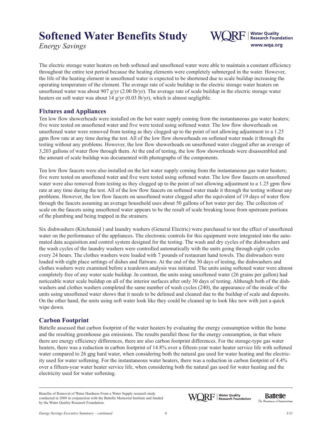*Energy Savings*



The electric storage water heaters on both softened and unsoftened water were able to maintain a constant efficiency throughout the entire test period because the heating elements were completely submerged in the water. However, the life of the heating element in unsoftened water is expected to be shortened due to scale buildup increasing the operating temperature of the element. The average rate of scale buildup in the electric storage water heaters on unsoftened water was about 907 g/yr (2.00 lb/yr). The average rate of scale buildup in the electric storage water heaters on soft water was about 14 g/yr (0.03 lb/yr), which is almost negligible.

#### **Fixtures and Appliances**

Ten low flow showerheads were installed on the hot water supply coming from the instantaneous gas water heaters; five were tested on unsoftened water and five were tested using softened water. The low flow showerheads on unsoftened water were removed from testing as they clogged up to the point of not allowing adjustment to a 1.25 gpm flow rate at any time during the test. All of the low flow showerheads on softened water made it through the testing without any problems. However, the low flow showerheads on unsoftened water clogged after an average of 3,203 gallons of water flow through them. At the end of testing, the low flow showerheads were disassembled and the amount of scale buildup was documented with photographs of the components.

Ten low flow faucets were also installed on the hot water supply coming from the instantaneous gas water heaters; five were tested on unsoftened water and five were tested using softened water. The low flow faucets on unsoftened water were also removed from testing as they clogged up to the point of not allowing adjustment to a 1.25 gpm flow rate at any time during the test. All of the low flow faucets on softened water made it through the testing without any problems. However, the low flow faucets on unsoftened water clogged after the equivalent of 19 days of water flow through the faucets assuming an average household uses about 50 gallons of hot water per day. The collection of scale on the faucets using unsoftened water appears to be the result of scale breaking loose from upstream portions of the plumbing and being trapped in the strainers.

Six dishwashers (Kitchenaid ) and laundry washers (General Electric) were purchased to test the effect of unsoftened water on the performance of the appliances. The electronic controls for this equipment were integrated into the automated data acquisition and control system designed for the testing. The wash and dry cycles of the dishwashers and the wash cycles of the laundry washers were controlled automatically with the units going through eight cycles every 24 hours. The clothes washers were loaded with 7 pounds of restaurant hand towels. The dishwashers were loaded with eight place settings of dishes and flatware. At the end of the 30 days of testing, the dishwashers and clothes washers were examined before a teardown analysis was initiated. The units using softened water were almost completely free of any water scale buildup. In contrast, the units using unsoftened water (26 grains per gallon) had noticeable water scale buildup on all of the interior surfaces after only 30 days of testing. Although both of the dishwashers and clothes washers completed the same number of wash cycles (240), the appearance of the inside of the units using unsoftened water shows that it needs to be delimed and cleaned due to the buildup of scale and deposits. On the other hand, the units using soft water look like they could be cleaned up to look like new with just a quick wipe down.

#### **Carbon Footprint**

Battelle assessed that carbon footprint of the water heaters by evaluating the energy consumption within the home and the resulting greenhouse gas emissions. The results parallel those for the energy consumption, in that where there are energy efficiency differences, there are also carbon footprint differences. For the storage-type gas water heaters, there was a reduction in carbon footprint of 14.8% over a fifteen-year water heater service life with softened water compared to 26 gpg hard water, when considering both the natural gas used for water heating and the electricity used for water softening. For the instantaneous water heaters, there was a reduction in carbon footprint of 4.4% over a fifteen-year water heater service life, when considering both the natural gas used for water heating and the electricity used for water softening.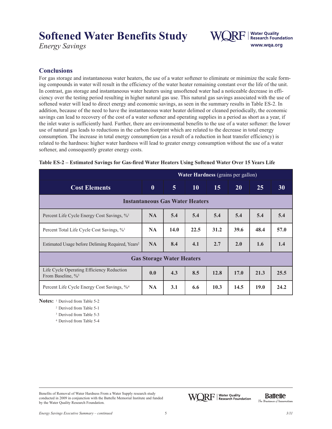*Energy Savings*



#### **Conclusions**

For gas storage and instantaneous water heaters, the use of a water softener to eliminate or minimize the scale forming compounds in water will result in the efficiency of the water heater remaining constant over the life of the unit. In contrast, gas storage and instantaneous water heaters using unsoftened water had a noticeable decrease in efficiency over the testing period resulting in higher natural gas use. This natural gas savings associated with the use of softened water will lead to direct energy and economic savings, as seen in the summary results in Table ES-2. In addition, because of the need to have the instantaneous water heater delimed or cleaned periodically, the economic savings can lead to recovery of the cost of a water softener and operating supplies in a period as short as a year, if the inlet water is sufficiently hard. Further, there are environmental benefits to the use of a water softener: the lower use of natural gas leads to reductions in the carbon footprint which are related to the decrease in total energy consumption. The increase in total energy consumption (as a result of a reduction in heat transfer efficiency) is related to the hardness: higher water hardness will lead to greater energy consumption without the use of a water softener, and consequently greater energy costs.

| <b>Water Hardness</b> (grains per gallon)                                 |           |                |           |      |      |      |           |
|---------------------------------------------------------------------------|-----------|----------------|-----------|------|------|------|-----------|
| <b>Cost Elements</b>                                                      | $\bf{0}$  | $\overline{5}$ | <b>10</b> | 15   | 20   | 25   | <b>30</b> |
| <b>Instantaneous Gas Water Heaters</b>                                    |           |                |           |      |      |      |           |
| Percent Life Cycle Energy Cost Savings, % <sup>1</sup>                    | <b>NA</b> | 5.4            | 5.4       | 5.4  | 5.4  | 5.4  | 5.4       |
| Percent Total Life Cycle Cost Savings, % <sup>1</sup>                     | <b>NA</b> | 14.0           | 22.5      | 31.2 | 39.6 | 48.4 | 57.0      |
| Estimated Usage before Deliming Required, Years <sup>2</sup>              | <b>NA</b> | 8.4            | 4.1       | 2.7  | 2.0  | 1.6  | 1.4       |
| <b>Gas Storage Water Heaters</b>                                          |           |                |           |      |      |      |           |
| Life Cycle Operating Efficiency Reduction<br>From Baseline, $\frac{9}{3}$ | 0.0       | 4.3            | 8.5       | 12.8 | 17.0 | 21.3 | 25.5      |
| Percent Life Cycle Energy Cost Savings, % <sup>4</sup>                    | <b>NA</b> | 3.1            | 6.6       | 10.3 | 14.5 | 19.0 | 24.2      |

| Table ES-2 - Estimated Savings for Gas-fired Water Heaters Using Softened Water Over 15 Years Life |  |  |  |
|----------------------------------------------------------------------------------------------------|--|--|--|
|                                                                                                    |  |  |  |

**Notes:** <sup>1</sup> Derived from Table 5-2

<sup>2</sup> Derived from Table 5-1

<sup>3</sup> Derived from Table 5-3

<sup>4</sup> Derived from Table 5-4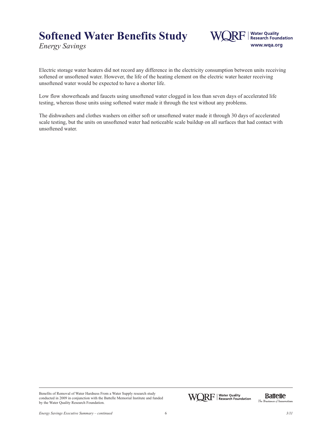*Energy Savings*



Electric storage water heaters did not record any difference in the electricity consumption between units receiving softened or unsoftened water. However, the life of the heating element on the electric water heater receiving unsoftened water would be expected to have a shorter life.

Low flow showerheads and faucets using unsoftened water clogged in less than seven days of accelerated life testing, whereas those units using softened water made it through the test without any problems.

The dishwashers and clothes washers on either soft or unsoftened water made it through 30 days of accelerated scale testing, but the units on unsoftened water had noticeable scale buildup on all surfaces that had contact with unsoftened water.

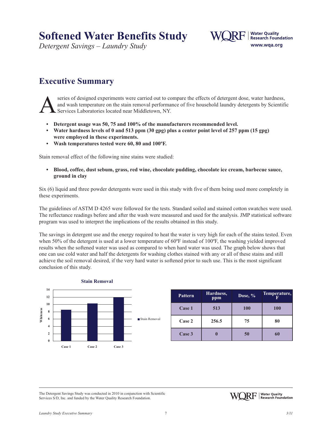*Detergent Savings – Laundry Study*



#### **Executive Summary**

Series of designed experiments were carried out to compare the effects of detergent dose, water hardness, and wash temperature on the stain removal performance of five household laundry detergents by Scientif Services Labo and wash temperature on the stain removal performance of five household laundry detergents by Scientific Services Laboratories located near Middletown, NY.

- **• Detergent usage was 50, 75 and 100% of the manufacturers recommended level.**
- Water hardness levels of 0 and 513 ppm (30 gpg) plus a center point level of 257 ppm (15 gpg) **were employed in these experiments.**
- **• Wash temperatures tested were 60, 80 and 100ºF.**

Stain removal effect of the following nine stains were studied:

**• Blood, coffee, dust sebum, grass, red wine, chocolate pudding, chocolate ice cream, barbecue sauce, ground in clay**

Six (6) liquid and three powder detergents were used in this study with five of them being used more completely in these experiments.

The guidelines of ASTM D 4265 were followed for the tests. Standard soiled and stained cotton swatches were used. The reflectance readings before and after the wash were measured and used for the analysis. JMP statistical software program was used to interpret the implications of the results obtained in this study.

The savings in detergent use and the energy required to heat the water is very high for each of the stains tested. Even when 50% of the detergent is used at a lower temperature of 60°F instead of 100°F, the washing yielded improved results when the softened water was used as compared to when hard water was used. The graph below shows that one can use cold water and half the detergents for washing clothes stained with any or all of these stains and still achieve the soil removal desired, if the very hard water is softened prior to such use. This is the most significant conclusion of this study.



| <b>Pattern</b> | Hardness,<br>ppm | Dose, $%$ | Temperature, |
|----------------|------------------|-----------|--------------|
| Case 1         | 513              | 100       | <b>100</b>   |
| Case 2         | 256.5            | 75        | 80           |
| Case 3         |                  | 50        | 60           |

The Detergent Savings Study was conducted in 2010 in conjunction with Scientific Services S/D, Inc. and funded by the Water Quality Research Foundation.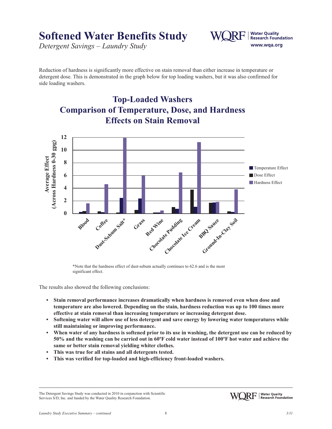*Detergent Savings – Laundry Study*



Reduction of hardness is significantly more effective on stain removal than either increase in temperature or detergent dose. This is demonstrated in the graph below for top loading washers, but it was also confirmed for side loading washers.



\*Note that the hardness effect of dust-sebum actually continues to 62.6 and is the most significant effect.

The results also showed the following conclusions:

- **• Stain removal performance increases dramatically when hardness is removed even when dose and temperature are also lowered. Depending on the stain, hardness reduction was up to 100 times more effective at stain removal than increasing temperature or increasing detergent dose.**
- **• Softening water will allow use of less detergent and save energy by lowering water temperatures while still maintaining or improving performance.**
- When water of any hardness is softened prior to its use in washing, the detergent use can be reduced by 50% and the washing can be carried out in 60°F cold water instead of 100°F hot water and achieve the **same or better stain removal yielding whiter clothes.**
- **• This was true for all stains and all detergents tested.**
- **• This was verified for top-loaded and high-efficiency front-loaded washers.**

The Detergent Savings Study was conducted in 2010 in conjunction with Scientific Services S/D, Inc. and funded by the Water Quality Research Foundation.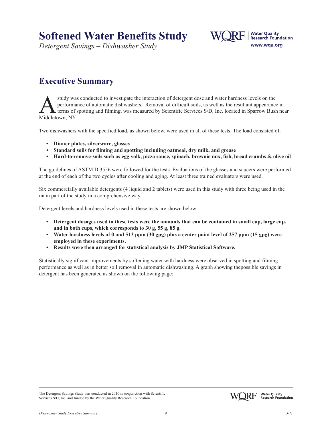*Detergent Savings – Dishwasher Study*



#### **Executive Summary**

study was conducted to investigate the interaction of detergent dose and water hardness levels on the performance of automatic dishwashers. Removal of difficult soils, as well as the resultant appearance terms of spotting performance of automatic dishwashers. Removal of difficult soils, as well as the resultant appearance in terms of spotting and filming, was measured by Scientific Services S/D, Inc. located in Sparrow Bush near Middletown, NY.

Two dishwashers with the specified load, as shown below, were used in all of these tests. The load consisted of:

- **• Dinner plates, silverware, glasses**
- **• Standard soils for filming and spotting including oatmeal, dry milk, and grease**
- Hard-to-remove-soils such as egg yolk, pizza sauce, spinach, brownie mix, fish, bread crumbs & olive oil

The guidelines of ASTM D 3556 were followed for the tests. Evaluations of the glasses and saucers were performed at the end of each of the two cycles after cooling and aging. At least three trained evaluators were used.

Six commercially available detergents (4 liquid and 2 tablets) were used in this study with three being used in the main part of the study in a comprehensive way.

Detergent levels and hardness levels used in these tests are shown below:

- Detergent dosages used in these tests were the amounts that can be contained in small cup, large cup, **and in both cups, which corresponds to 30 g, 55 g, 85 g.**
- Water hardness levels of 0 and 513 ppm (30 gpg) plus a center point level of 257 ppm (15 gpg) were **employed in these experiments.**
- **• Results were then arranged for statistical analysis by JMP Statistical Software.**

Statistically significant improvements by softening water with hardness were observed in spotting and filming performance as well as in better soil removal in automatic dishwashing. A graph showing thepossible savings in detergent has been generated as shown on the following page:



The Detergent Savings Study was conducted in 2010 in conjunction with Scientific Services S/D, Inc. and funded by the Water Quality Research Foundation.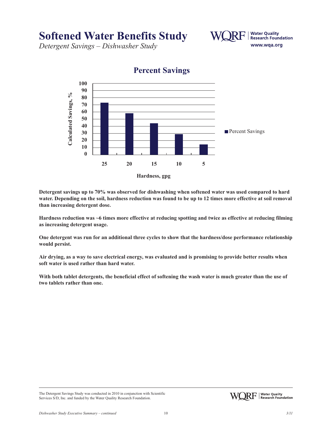*Detergent Savings – Dishwasher Study*



**Percent Savings**

**Detergent savings up to 70% was observed for dishwashing when softened water was used compared to hard** water. Depending on the soil, hardness reduction was found to be up to 12 times more effective at soil removal **than increasing detergent dose.**

Hardness reduction was ~6 times more effective at reducing spotting and twice as effective at reducing filming **as increasing detergent usage.**

**One detergent was run for an additional three cycles to show that the hardness/dose performance relationship would persist.**

Air drying, as a way to save electrical energy, was evaluated and is promising to provide better results when **soft water is used rather than hard water.**

With both tablet detergents, the beneficial effect of softening the wash water is much greater than the use of **two tablets rather than one.**

The Detergent Savings Study was conducted in 2010 in conjunction with Scientific Services S/D, Inc. and funded by the Water Quality Research Foundation.



www.wqa.org

**Water Quality Research Foundation**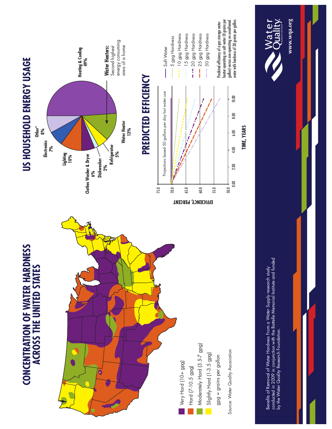



# US HOUSEHOLD ENERGY USAGE **US HOUSEHOLD ENERGY USAGE**



## **PREDICTED EFFICIENCY PREDICTED EFFICIENCY**



10 gpg Hardness 15 gpg Hardness

gallon) versus one operating on unsoftened<br>water with hardness of 30 grains per gallon. heater operating on soft water (O grains per water with hardness of 30 grains per gallon.Predicted efficiency of a gas storage water heater operating on soft water (0 grains per gallon) versus one operating on unsoftened Predicted efficiency of a gas storage water 30 gpg Hardness 30 gpg Hardness

**TIME, YEARS**

TIME, YEARS

Benefits of Removal of Water Hardness From a Water Supply research study<br>conducted in 2009 in conjunction with the Battelle Memorial Institute and funded<br>by the Water Quality Research Foundation. conducted in 2009 in conjunction with the Battelle Memorial Institute and funded Benefits of Removal of Water Hardness From a Water Supply research study by the Water Quality Research Foundation.